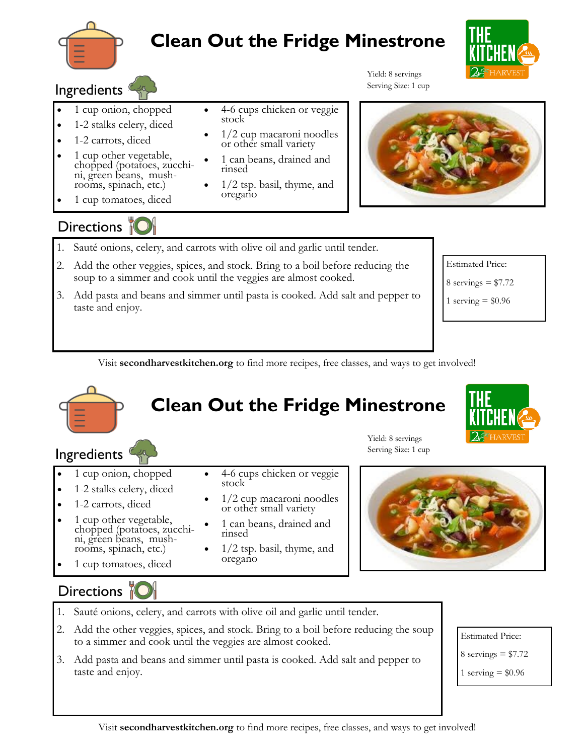

## **Clean Out the Fridge Minestrone**

4-6 cups chicken or veggie

 1/2 cup macaroni noodles or other small variety 1 can beans, drained and

1/2 tsp. basil, thyme, and



#### **Ingredients**

- 1 cup onion, chopped
- 1-2 stalks celery, diced
- 1-2 carrots, diced
- 1 cup other vegetable, chopped (potatoes, zucchini, green beans, mushrooms, spinach, etc.)
- 1 cup tomatoes, diced

## Directions if

- 1. Sauté onions, celery, and carrots with olive oil and garlic until tender.
- 2. Add the other veggies, spices, and stock. Bring to a boil before reducing the soup to a simmer and cook until the veggies are almost cooked.

stock

rinsed

oregano

3. Add pasta and beans and simmer until pasta is cooked. Add salt and pepper to taste and enjoy.



Estimated Price:

8 servings  $= $7.72$ 

1 serving  $= $0.96$ 

Visit **secondharvestkitchen.org** to find more recipes, free classes, and ways to get involved!

# **Clean Out the Fridge Minestrone**



Yield: 8 servings Serving Size: 1 cup

Yield: 8 servings Serving Size: 1 cup

1 cup onion, chopped

**Ingredients** 

- 1-2 stalks celery, diced
- 1-2 carrots, diced
- 1 cup other vegetable, chopped (potatoes, zucchini, green beans, mush
	- rooms, spinach, etc.)
- 1 cup tomatoes, diced
- 4-6 cups chicken or veggie stock
- 1/2 cup macaroni noodles or other small variety
- 1 can beans, drained and rinsed
- 1/2 tsp. basil, thyme, and oregano



#### Directions M

- 1. Sauté onions, celery, and carrots with olive oil and garlic until tender.
- 2. Add the other veggies, spices, and stock. Bring to a boil before reducing the soup to a simmer and cook until the veggies are almost cooked.
- 3. Add pasta and beans and simmer until pasta is cooked. Add salt and pepper to taste and enjoy.

Estimated Price:

 $8$  servings = \$7.72

1 serving  $= $0.96$